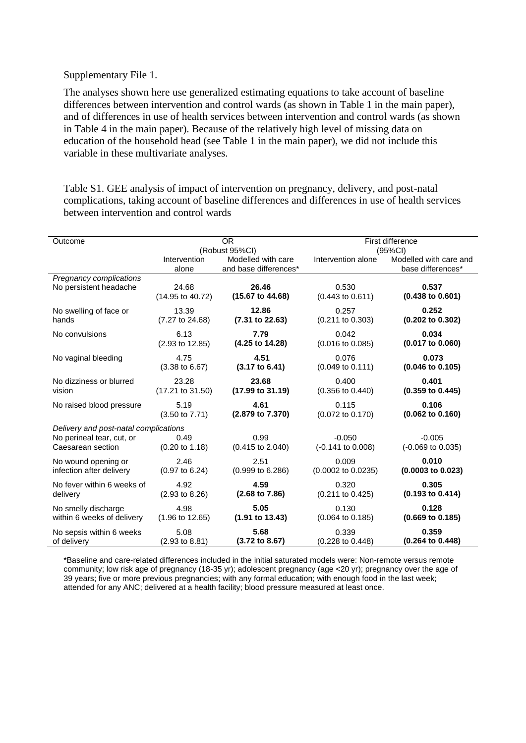## Supplementary File 1.

The analyses shown here use generalized estimating equations to take account of baseline differences between intervention and control wards (as shown in Table 1 in the main paper), and of differences in use of health services between intervention and control wards (as shown in Table 4 in the main paper). Because of the relatively high level of missing data on education of the household head (see Table 1 in the main paper), we did not include this variable in these multivariate analyses.

Table S1. GEE analysis of impact of intervention on pregnancy, delivery, and post-natal complications, taking account of baseline differences and differences in use of health services between intervention and control wards

| Outcome                               | <b>OR</b><br>(Robust 95%CI) |                                             | First difference<br>(95%CI)  |                                             |  |
|---------------------------------------|-----------------------------|---------------------------------------------|------------------------------|---------------------------------------------|--|
|                                       | Intervention<br>alone       | Modelled with care<br>and base differences* | Intervention alone           | Modelled with care and<br>base differences* |  |
| Pregnancy complications               | 24.68                       | 26.46                                       | 0.530                        | 0.537                                       |  |
| No persistent headache                | (14.95 to 40.72)            | (15.67 to 44.68)                            | $(0.443 \text{ to } 0.611)$  | $(0.438 \text{ to } 0.601)$                 |  |
| No swelling of face or                | 13.39                       | 12.86                                       | 0.257                        | 0.252                                       |  |
| hands                                 | $(7.27 \text{ to } 24.68)$  | (7.31 to 22.63)                             | $(0.211$ to $0.303)$         | $(0.202 \text{ to } 0.302)$                 |  |
| No convulsions                        | 6.13                        | 7.79                                        | 0.042                        | 0.034                                       |  |
|                                       | $(2.93 \text{ to } 12.85)$  | (4.25 to 14.28)                             | $(0.016 \text{ to } 0.085)$  | $(0.017 \text{ to } 0.060)$                 |  |
| No vaginal bleeding                   | 4.75                        | 4.51                                        | 0.076                        | 0.073                                       |  |
|                                       | $(3.38 \text{ to } 6.67)$   | $(3.17 \text{ to } 6.41)$                   | $(0.049 \text{ to } 0.111)$  | $(0.046 \text{ to } 0.105)$                 |  |
| No dizziness or blurred               | 23.28                       | 23.68                                       | 0.400                        | 0.401                                       |  |
| vision                                | (17.21 to 31.50)            | (17.99 to 31.19)                            | $(0.356 \text{ to } 0.440)$  | $(0.359$ to $0.445)$                        |  |
| No raised blood pressure              | 5.19                        | 4.61                                        | 0.115                        | 0.106                                       |  |
|                                       | $(3.50 \text{ to } 7.71)$   | (2.879 to 7.370)                            | (0.072 to 0.170)             | $(0.062 \text{ to } 0.160)$                 |  |
| Delivery and post-natal complications |                             |                                             |                              |                                             |  |
| No perineal tear, cut, or             | 0.49                        | 0.99                                        | $-0.050$                     | $-0.005$                                    |  |
| Caesarean section                     | $(0.20 \text{ to } 1.18)$   | $(0.415 \text{ to } 2.040)$                 | $(-0.141 \text{ to } 0.008)$ | $(-0.069 \text{ to } 0.035)$                |  |
| No wound opening or                   | 2.46                        | 2.51                                        | 0.009                        | 0.010                                       |  |
| infection after delivery              | $(0.97 \text{ to } 6.24)$   | (0.999 to 6.286)                            | (0.0002 to 0.0235)           | $(0.0003$ to $0.023)$                       |  |
| No fever within 6 weeks of            | 4.92                        | 4.59                                        | 0.320                        | 0.305                                       |  |
| delivery                              | $(2.93 \text{ to } 8.26)$   | $(2.68 \text{ to } 7.86)$                   | $(0.211$ to $0.425)$         | $(0.193 \text{ to } 0.414)$                 |  |
| No smelly discharge                   | 4.98                        | 5.05                                        | 0.130                        | 0.128                                       |  |
| within 6 weeks of delivery            | $(1.96 \text{ to } 12.65)$  | $(1.91 \text{ to } 13.43)$                  | $(0.064 \text{ to } 0.185)$  | $(0.669 \text{ to } 0.185)$                 |  |
| No sepsis within 6 weeks              | 5.08                        | 5.68                                        | 0.339                        | 0.359                                       |  |
| of delivery                           | $(2.93 \text{ to } 8.81)$   | (3.72 to 8.67)                              | $(0.228 \text{ to } 0.448)$  | (0.264 to 0.448)                            |  |

\*Baseline and care-related differences included in the initial saturated models were: Non-remote versus remote community; low risk age of pregnancy (18-35 yr); adolescent pregnancy (age <20 yr); pregnancy over the age of 39 years; five or more previous pregnancies; with any formal education; with enough food in the last week; attended for any ANC; delivered at a health facility; blood pressure measured at least once.